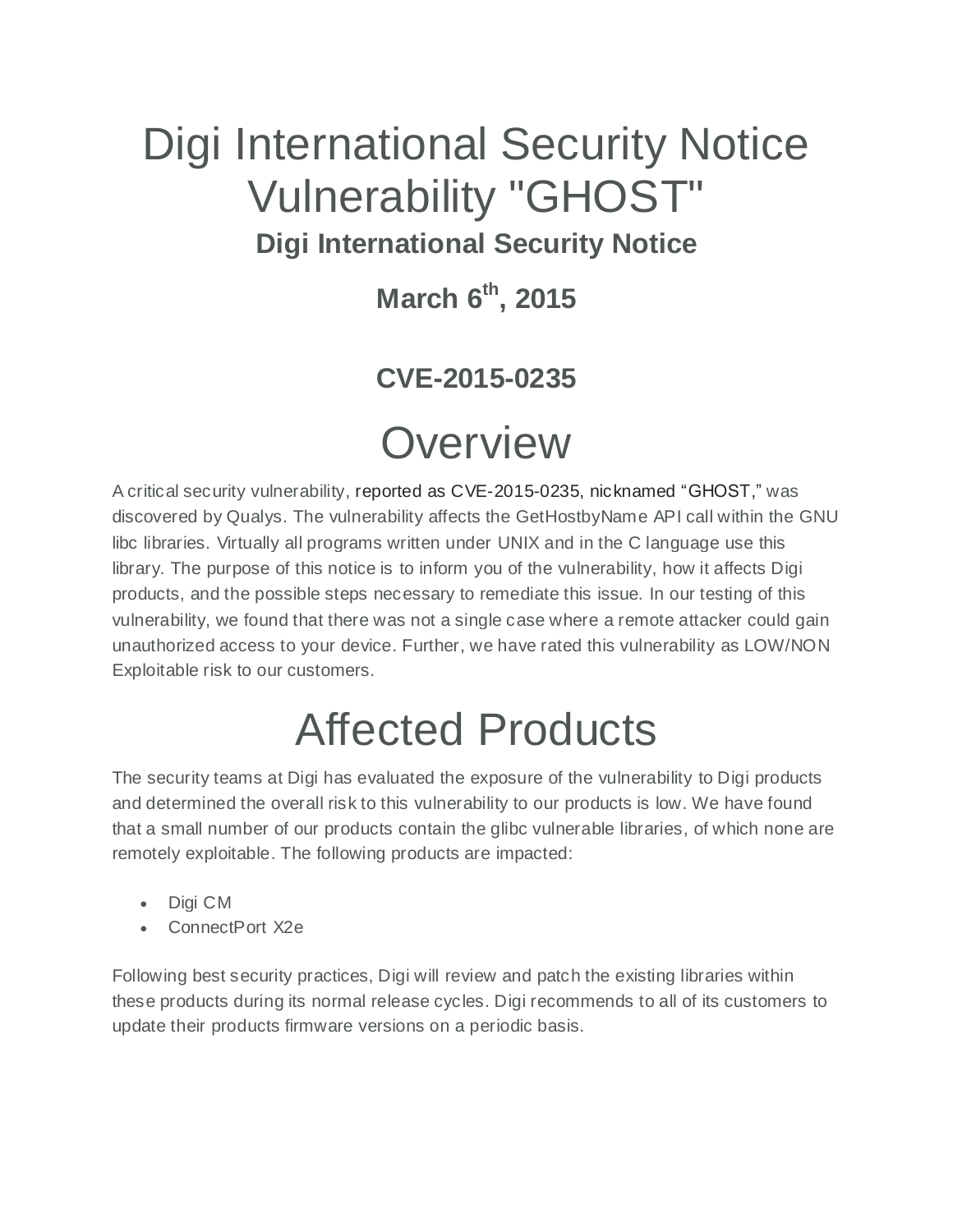## Digi International Security Notice Vulnerability "GHOST" **Digi International Security Notice**

**March 6th , 2015**

### **CVE-2015-0235**

## **Overview**

A critical security vulnerability, reported as CVE-2015-0235, nicknamed "GHOST," was discovered by Qualys. The vulnerability affects the GetHostbyName API call within the GNU libc libraries. Virtually all programs written under UNIX and in the C language use this library. The purpose of this notice is to inform you of the vulnerability, how it affects Digi products, and the possible steps necessary to remediate this issue. In our testing of this vulnerability, we found that there was not a single case where a remote attacker could gain unauthorized access to your device. Further, we have rated this vulnerability as LOW/NON Exploitable risk to our customers.

# Affected Products

The security teams at Digi has evaluated the exposure of the vulnerability to Digi products and determined the overall risk to this vulnerability to our products is low. We have found that a small number of our products contain the glibc vulnerable libraries, of which none are remotely exploitable. The following products are impacted:

- Digi CM
- ConnectPort X2e

Following best security practices, Digi will review and patch the existing libraries within these products during its normal release cycles. Digi recommends to all of its customers to update their products firmware versions on a periodic basis.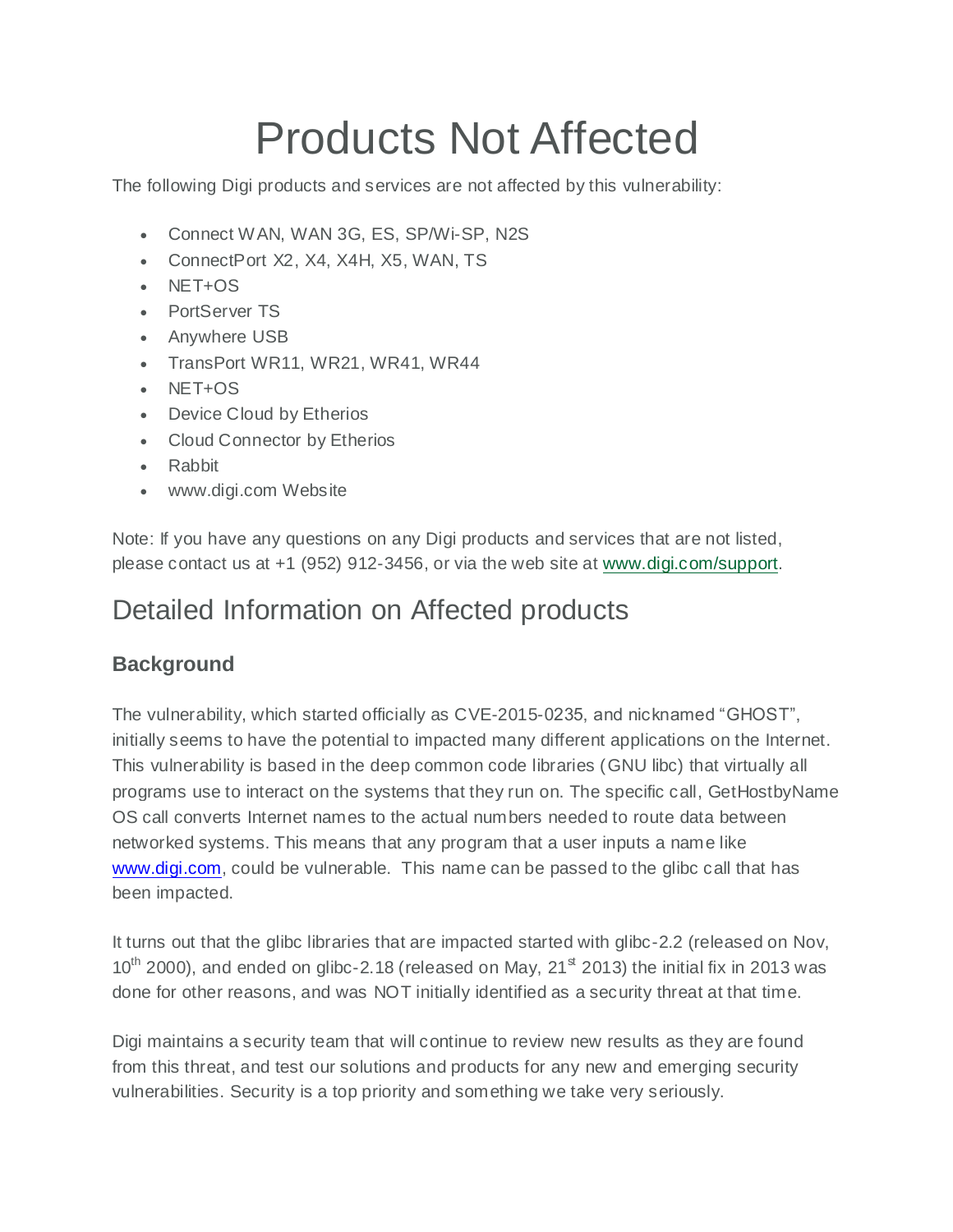# Products Not Affected

The following Digi products and services are not affected by this vulnerability:

- Connect WAN, WAN 3G, ES, SP/Wi-SP, N2S
- ConnectPort X2, X4, X4H, X5, WAN, TS
- NET+OS
- PortServer TS
- Anywhere USB
- TransPort WR11, WR21, WR41, WR44
- $\cdot$  NFT+OS
- Device Cloud by Etherios
- Cloud Connector by Etherios
- Rabbit
- www.digi.com Website

Note: If you have any questions on any Digi products and services that are not listed, please contact us at +1 (952) 912-3456, or via the web site at [www.digi.com/support.](http://www.digi.com/support)

### Detailed Information on Affected products

#### **Background**

The vulnerability, which started officially as CVE-2015-0235, and nicknamed "GHOST", initially seems to have the potential to impacted many different applications on the Internet. This vulnerability is based in the deep common code libraries (GNU libc) that virtually all programs use to interact on the systems that they run on. The specific call, GetHostbyName OS call converts Internet names to the actual numbers needed to route data between networked systems. This means that any program that a user inputs a name like [www.digi.com,](http://www.digi.com/) could be vulnerable. This name can be passed to the glibc call that has been impacted.

It turns out that the glibc libraries that are impacted started with glibc-2.2 (released on Nov,  $10^{th}$  2000), and ended on glibc-2.18 (released on May, 21 $^{\text{st}}$  2013) the initial fix in 2013 was done for other reasons, and was NOT initially identified as a security threat at that time.

Digi maintains a security team that will continue to review new results as they are found from this threat, and test our solutions and products for any new and emerging security vulnerabilities. Security is a top priority and something we take very seriously.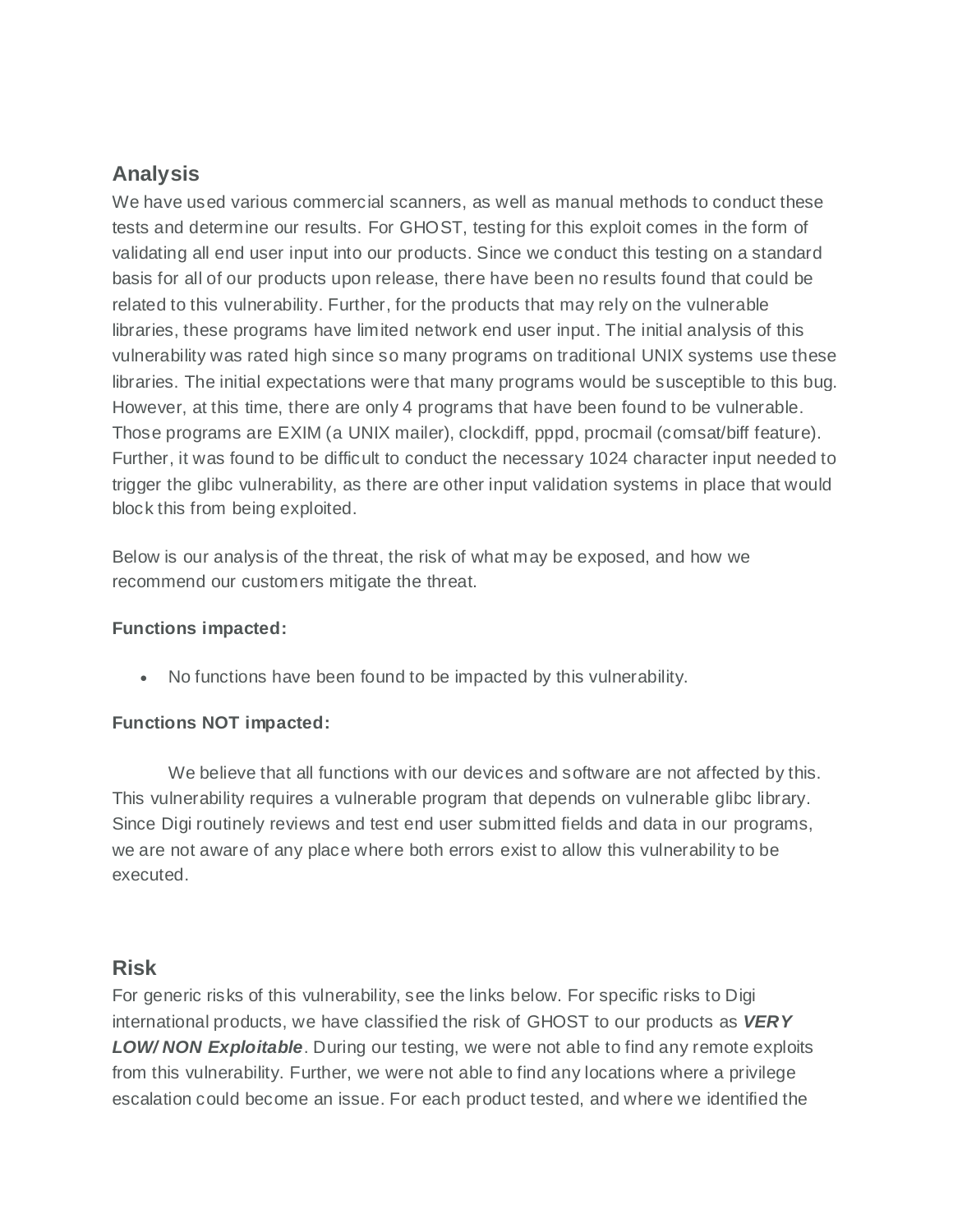#### **Analysis**

We have used various commercial scanners, as well as manual methods to conduct these tests and determine our results. For GHOST, testing for this exploit comes in the form of validating all end user input into our products. Since we conduct this testing on a standard basis for all of our products upon release, there have been no results found that could be related to this vulnerability. Further, for the products that may rely on the vulnerable libraries, these programs have limited network end user input. The initial analysis of this vulnerability was rated high since so many programs on traditional UNIX systems use these libraries. The initial expectations were that many programs would be susceptible to this bug. However, at this time, there are only 4 programs that have been found to be vulnerable. Those programs are EXIM (a UNIX mailer), clockdiff, pppd, procmail (comsat/biff feature). Further, it was found to be difficult to conduct the necessary 1024 character input needed to trigger the glibc vulnerability, as there are other input validation systems in place that would block this from being exploited.

Below is our analysis of the threat, the risk of what may be exposed, and how we recommend our customers mitigate the threat.

#### **Functions impacted:**

No functions have been found to be impacted by this vulnerability.

#### **Functions NOT impacted:**

We believe that all functions with our devices and software are not affected by this. This vulnerability requires a vulnerable program that depends on vulnerable glibc library. Since Digi routinely reviews and test end user submitted fields and data in our programs, we are not aware of any place where both errors exist to allow this vulnerability to be executed.

#### **Risk**

For generic risks of this vulnerability, see the links below. For specific risks to Digi international products, we have classified the risk of GHOST to our products as *VERY LOW/ NON Exploitable*. During our testing, we were not able to find any remote exploits from this vulnerability. Further, we were not able to find any locations where a privilege escalation could become an issue. For each product tested, and where we identified the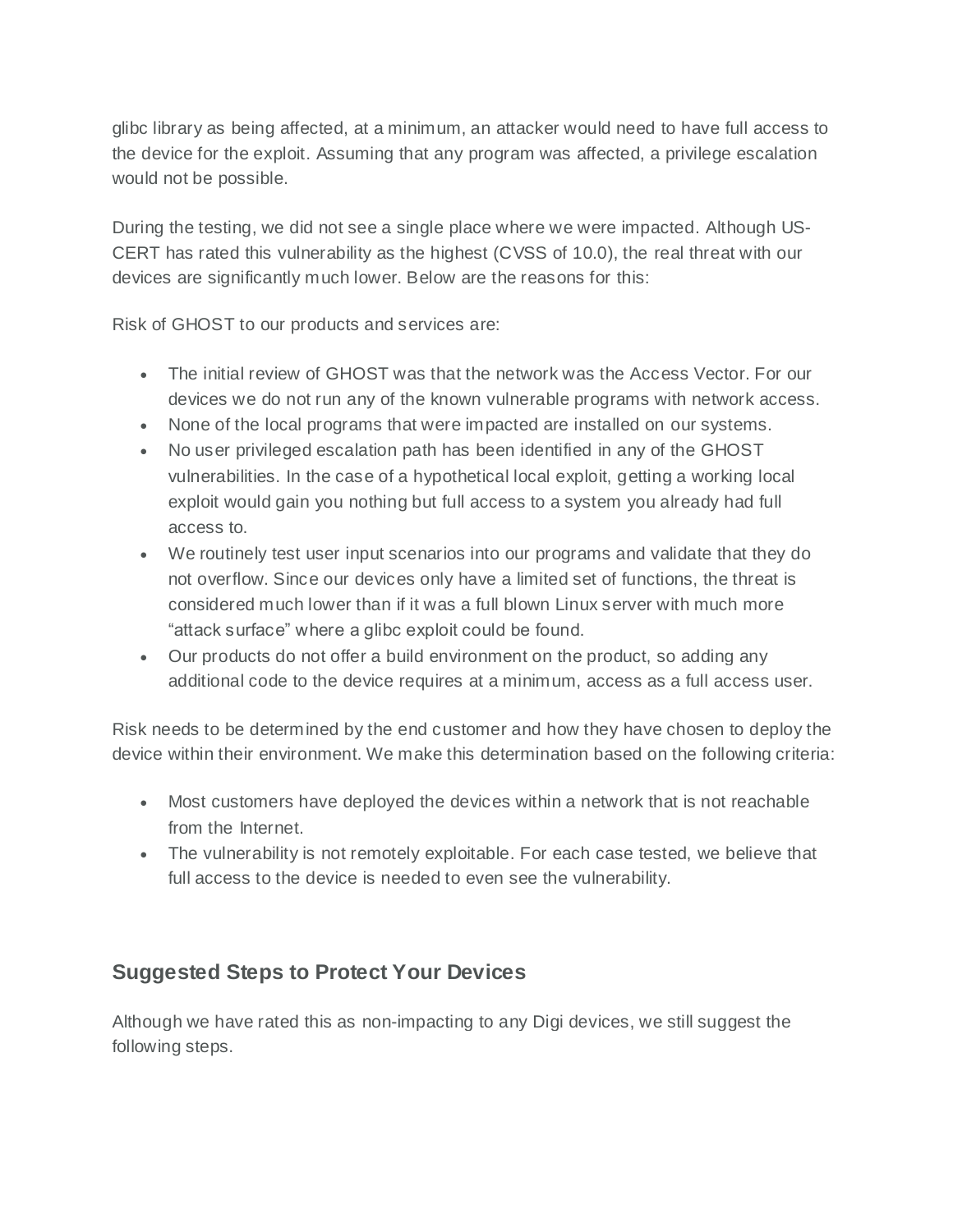glibc library as being affected, at a minimum, an attacker would need to have full access to the device for the exploit. Assuming that any program was affected, a privilege escalation would not be possible.

During the testing, we did not see a single place where we were impacted. Although US-CERT has rated this vulnerability as the highest (CVSS of 10.0), the real threat with our devices are significantly much lower. Below are the reasons for this:

Risk of GHOST to our products and services are:

- The initial review of GHOST was that the network was the Access Vector. For our devices we do not run any of the known vulnerable programs with network access.
- None of the local programs that were impacted are installed on our systems.
- No user privileged escalation path has been identified in any of the GHOST vulnerabilities. In the case of a hypothetical local exploit, getting a working local exploit would gain you nothing but full access to a system you already had full access to.
- We routinely test user input scenarios into our programs and validate that they do not overflow. Since our devices only have a limited set of functions, the threat is considered much lower than if it was a full blown Linux server with much more "attack surface" where a glibc exploit could be found.
- Our products do not offer a build environment on the product, so adding any additional code to the device requires at a minimum, access as a full access user.

Risk needs to be determined by the end customer and how they have chosen to deploy the device within their environment. We make this determination based on the following criteria:

- Most customers have deployed the devices within a network that is not reachable from the Internet.
- The vulnerability is not remotely exploitable. For each case tested, we believe that full access to the device is needed to even see the vulnerability.

#### **Suggested Steps to Protect Your Devices**

Although we have rated this as non-impacting to any Digi devices, we still suggest the following steps.